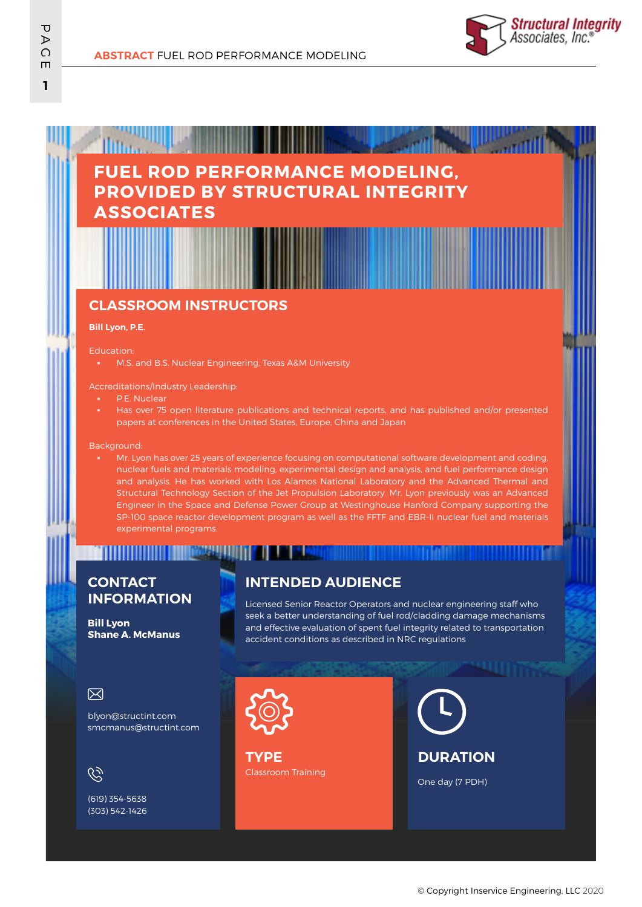

# **FUEL ROD PERFORMANCE MODELING, PROVIDED BY STRUCTURAL INTEGRITY ASSOCIATES**

### **CLASSROOM INSTRUCTORS**

#### **Bill Lyon, P.E.**

Education:

M.S. and B.S. Nuclear Engineering, Texas A&M University

#### Accreditations/Industry Leadership:

- P.E. Nuclear
- Has over 75 open literature publications and technical reports, and has published and/or presented papers at conferences in the United States, Europe, China and Japan

#### Background:

Mr. Lyon has over 25 years of experience focusing on computational software development and coding, nuclear fuels and materials modeling, experimental design and analysis, and fuel performance design and analysis. He has worked with Los Alamos National Laboratory and the Advanced Thermal and Structural Technology Section of the Jet Propulsion Laboratory. Mr. Lyon previously was an Advanced Engineer in the Space and Defense Power Group at Westinghouse Hanford Company supporting the SP-100 space reactor development program as well as the FFTF and EBR-II nuclear fuel and materials experimental programs.

## **CONTACT INFORMATION**

n ili ili ili ili ili

**Bill Lyon Shane A. McManus**

### **INTENDED AUDIENCE**

Licensed Senior Reactor Operators and nuclear engineering staff who seek a better understanding of fuel rod/cladding damage mechanisms and effective evaluation of spent fuel integrity related to transportation accident conditions as described in NRC regulations

#### 冈

blyon@structint.com smcmanus@structint.com

 $\mathscr{C}$ 

(619) 354-5638 (303) 542-1426

<u> HERAL III III 1 E E E E E E E E E E E E </u>

Classroom Training **TYPE**

**DURATION**

One day (7 PDH)